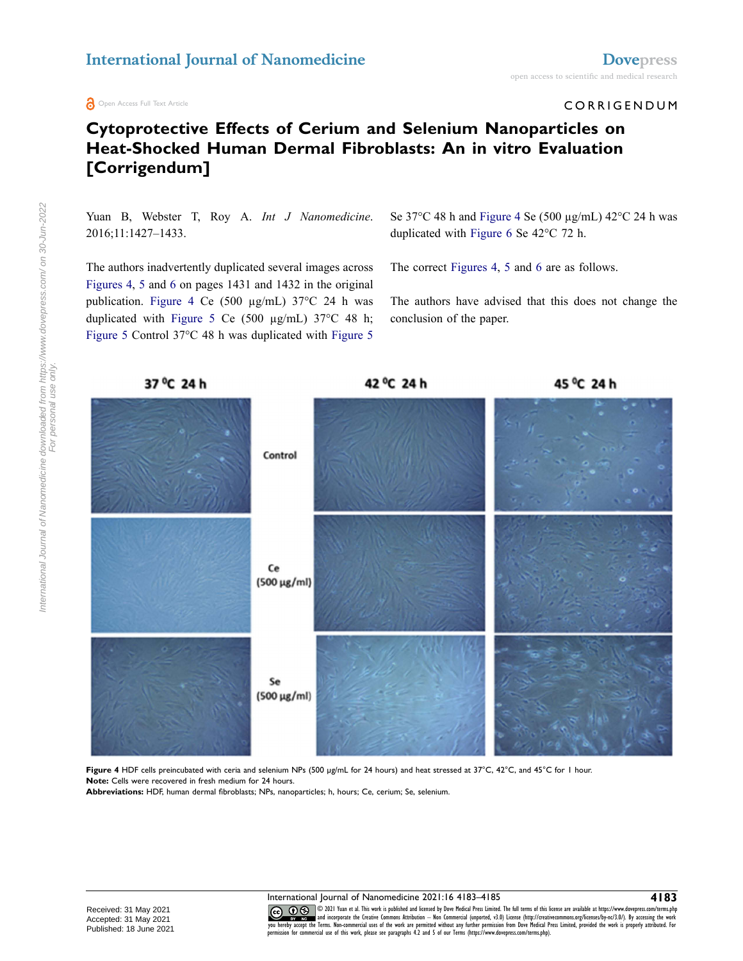**a** Open Access Full Text Article

## open access to scientific and medical research

CORRIGENDUM

## **Cytoprotective Effects of Cerium and Selenium Nanoparticles on Heat-Shocked Human Dermal Fibroblasts: An in vitro Evaluation [Corrigendum]**

Yuan B, Webster T, Roy A. *Int J Nanomedicine*. 2016;11:1427–1433.

The authors inadvertently duplicated several images across [Figures 4](#page-0-0), [5](#page-1-0) and [6](#page-2-0) on pages 1431 and 1432 in the original publication. [Figure 4](#page-0-0) Ce (500 µg/mL) 37°C 24 h was duplicated with [Figure 5](#page-1-0) Ce (500 µg/mL) 37°C 48 h; [Figure 5](#page-1-0) Control 37°C 48 h was duplicated with [Figure 5](#page-1-0)  Se 37 $\degree$ C 48 h and [Figure 4](#page-0-0) Se (500 µg/mL) 42 $\degree$ C 24 h was duplicated with [Figure 6](#page-2-0) Se 42°C 72 h.

The correct [Figures 4,](#page-0-0) [5](#page-1-0) and [6](#page-2-0) are as follows.

The authors have advised that this does not change the conclusion of the paper.

<span id="page-0-0"></span>

**Figure 4** HDF cells preincubated with ceria and selenium NPs (500 µg/mL for 24 hours) and heat stressed at 37°C, 42°C, and 45°C for 1 hour. **Note:** Cells were recovered in fresh medium for 24 hours.

**Abbreviations:** HDF, human dermal fibroblasts; NPs, nanoparticles; h, hours; Ce, cerium; Se, selenium.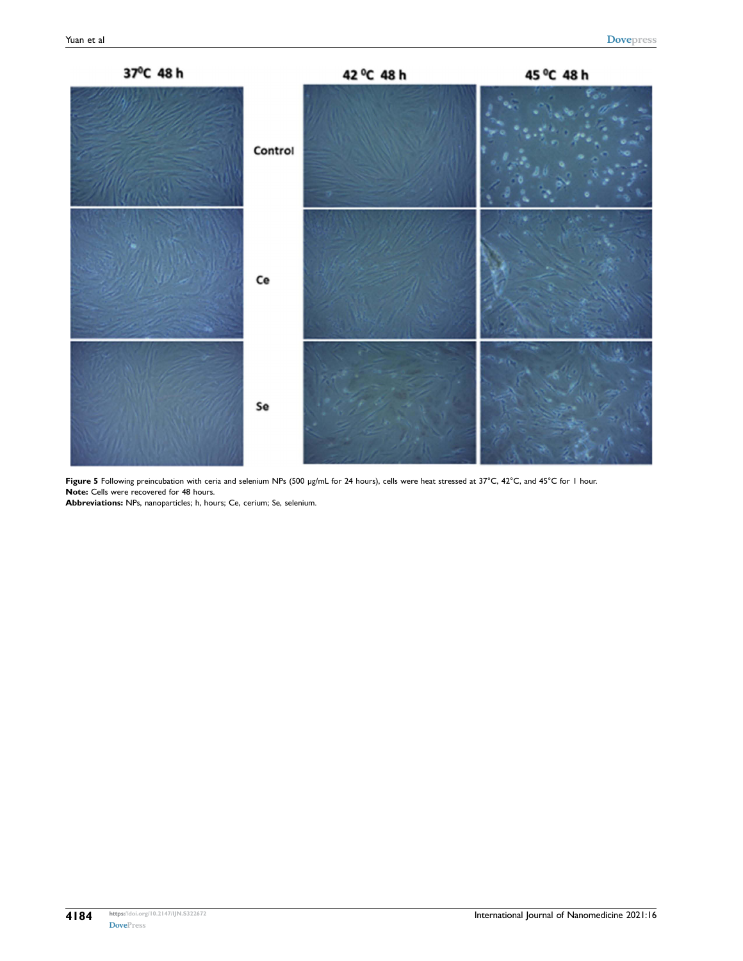<span id="page-1-0"></span>

Figure 5 Following preincubation with ceria and selenium NPs (500 µg/mL for 24 hours), cells were heat stressed at 37°C, 42°C, and 45°C for 1 hour. **Note:** Cells were recovered for 48 hours.

**Abbreviations:** NPs, nanoparticles; h, hours; Ce, cerium; Se, selenium.